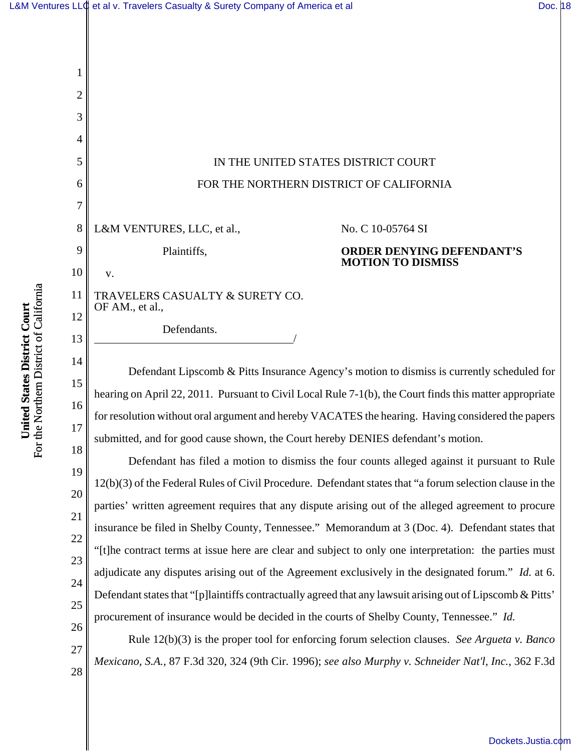

Defendant Lipscomb & Pitts Insurance Agency's motion to dismiss is currently scheduled for hearing on April 22, 2011. Pursuant to Civil Local Rule 7-1(b), the Court finds this matter appropriate for resolution without oral argument and hereby VACATES the hearing. Having considered the papers submitted, and for good cause shown, the Court hereby DENIES defendant's motion.

Defendant has filed a motion to dismiss the four counts alleged against it pursuant to Rule 12(b)(3) of the Federal Rules of Civil Procedure. Defendant states that "a forum selection clause in the parties' written agreement requires that any dispute arising out of the alleged agreement to procure insurance be filed in Shelby County, Tennessee." Memorandum at 3 (Doc. 4). Defendant states that "[t]he contract terms at issue here are clear and subject to only one interpretation: the parties must adjudicate any disputes arising out of the Agreement exclusively in the designated forum." *Id.* at 6. Defendant states that "[p]laintiffs contractually agreed that any lawsuit arising out of Lipscomb & Pitts' procurement of insurance would be decided in the courts of Shelby County, Tennessee." *Id.*

Rule 12(b)(3) is the proper tool for enforcing forum selection clauses. *See Argueta v. Banco Mexicano, S.A.*, 87 F.3d 320, 324 (9th Cir. 1996); *see also Murphy v. Schneider Nat'l, Inc.*, 362 F.3d

For the Northern District of California For the Northern District of California United States District Court **United States District Court**

15

16

17

18

19

1

26